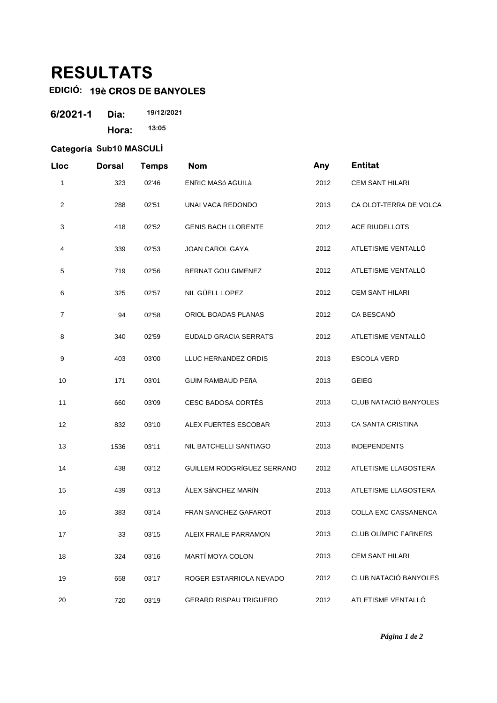## **RESULTATS**

## **EDICIÓ: 19è CROS DE BANYOLES**

| 6/2021-1 | Dia:  | 19/12/2021 |
|----------|-------|------------|
|          | Hora: | 13:05      |

## **Categoría Sub10 MASCULÍ**

| Lloc           | <b>Dorsal</b> | <b>Temps</b> | <b>Nom</b>                    | Any  | <b>Entitat</b>         |
|----------------|---------------|--------------|-------------------------------|------|------------------------|
| 1              | 323           | 02'46        | <b>ENRIC MASó AGUILà</b>      | 2012 | <b>CEM SANT HILARI</b> |
| $\overline{c}$ | 288           | 02'51        | UNAI VACA REDONDO             | 2013 | CA OLOT-TERRA DE VOLCA |
| 3              | 418           | 02'52        | <b>GENIS BACH LLORENTE</b>    | 2012 | <b>ACE RIUDELLOTS</b>  |
| 4              | 339           | 02'53        | <b>JOAN CAROL GAYA</b>        | 2012 | ATLETISME VENTALLÓ     |
| 5              | 719           | 02'56        | <b>BERNAT GOU GIMENEZ</b>     | 2012 | ATLETISME VENTALLÓ     |
| 6              | 325           | 02'57        | NIL GÜELL LOPEZ               | 2012 | <b>CEM SANT HILARI</b> |
| 7              | 94            | 02'58        | ORIOL BOADAS PLANAS           | 2012 | CA BESCANÓ             |
| 8              | 340           | 02'59        | <b>EUDALD GRACIA SERRATS</b>  | 2012 | ATLETISME VENTALLÓ     |
| 9              | 403           | 03'00        | LLUC HERNÀNDEZ ORDIS          | 2013 | <b>ESCOLA VERD</b>     |
| 10             | 171           | 03'01        | <b>GUIM RAMBAUD PEñA</b>      | 2013 | <b>GEIEG</b>           |
| 11             | 660           | 03'09        | <b>CESC BADOSA CORTÉS</b>     | 2013 | CLUB NATACIÓ BANYOLES  |
| 12             | 832           | 03'10        | ALEX FUERTES ESCOBAR          | 2013 | CA SANTA CRISTINA      |
| 13             | 1536          | 03'11        | NIL BATCHELLI SANTIAGO        | 2013 | <b>INDEPENDENTS</b>    |
| 14             | 438           | 03'12        | GUILLEM RODGRÍGUEZ SERRANO    | 2012 | ATLETISME LLAGOSTERA   |
| 15             | 439           | 03'13        | ÀLEX SÁNCHEZ MARÍN            | 2013 | ATLETISME LLAGOSTERA   |
| 16             | 383           | 03'14        | FRAN SANCHEZ GAFAROT          | 2013 | COLLA EXC CASSANENCA   |
| 17             | 33            | 03'15        | ALEIX FRAILE PARRAMON         | 2013 | CLUB OLÍMPIC FARNERS   |
| 18             | 324           | 03'16        | MARTÍ MOYA COLON              | 2013 | <b>CEM SANT HILARI</b> |
| 19             | 658           | 03'17        | ROGER ESTARRIOLA NEVADO       | 2012 | CLUB NATACIÓ BANYOLES  |
| 20             | 720           | 03'19        | <b>GERARD RISPAU TRIGUERO</b> | 2012 | ATLETISME VENTALLÓ     |

*Página 1 de 2*